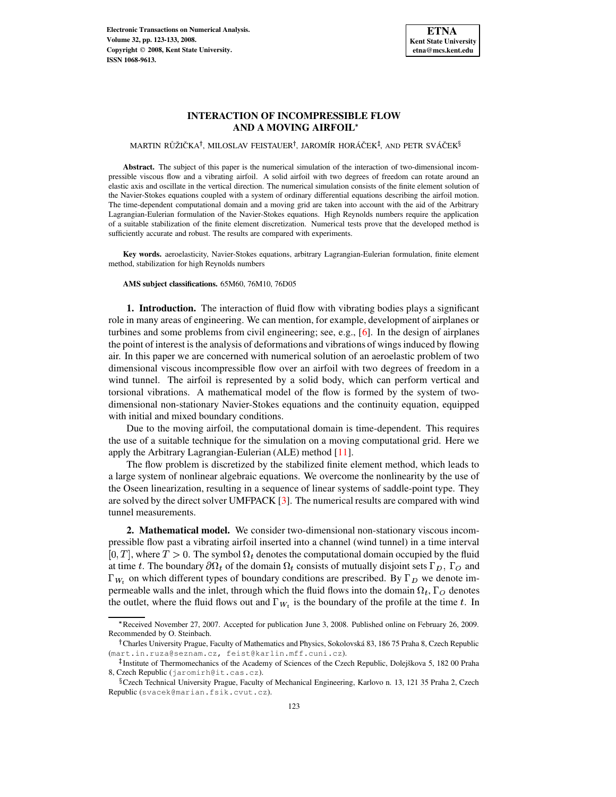

# **INTERACTION OF INCOMPRESSIBLE FLOW AND A MOVING AIRFOIL**

# MARTIN RŮŽIČKA<sup>†</sup>, MILOSLAV FEISTAUER<sup>†</sup>, JAROMÍR HORÁČEK<sup>‡</sup>, AND PETR SVÁČEK<sup>§</sup>

**Abstract.** The subject of this paper is the numerical simulation of the interaction of two-dimensional incompressible viscous flow and a vibrating airfoil. A solid airfoil with two degrees of freedom can rotate around an elastic axis and oscillate in the vertical direction. The numerical simulation consists of the finite element solution of the Navier-Stokes equations coupled with a system of ordinary differential equations describing the airfoil motion. The time-dependent computational domain and a moving grid are taken into account with the aid of the Arbitrary Lagrangian-Eulerian formulation of the Navier-Stokes equations. High Reynolds numbers require the application of a suitable stabilization of the finite element discretization. Numerical tests prove that the developed method is sufficiently accurate and robust. The results are compared with experiments.

**Key words.** aeroelasticity, Navier-Stokes equations, arbitrary Lagrangian-Eulerian formulation, finite element method, stabilization for high Reynolds numbers

## **AMS subject classifications.** 65M60, 76M10, 76D05

**1. Introduction.** The interaction of fluid flow with vibrating bodies plays a significant role in many areas of engineering. We can mention, for example, development of airplanes or turbines and some problems from civil engineering; see, e.g., [\[6\]](#page-10-0). In the design of airplanes the point of interest is the analysis of deformations and vibrations of wingsinduced by flowing air. In this paper we are concerned with numerical solution of an aeroelastic problem of two dimensional viscous incompressible flow over an airfoil with two degrees of freedom in a wind tunnel. The airfoil is represented by a solid body, which can perform vertical and torsional vibrations. A mathematical model of the flow is formed by the system of twodimensional non-stationary Navier-Stokes equations and the continuity equation, equipped with initial and mixed boundary conditions.

Due to the moving airfoil, the computational domain is time-dependent. This requires the use of a suitable technique for the simulation on a moving computational grid. Here we apply the Arbitrary Lagrangian-Eulerian (ALE) method [\[11\]](#page-10-1).

The flow problem is discretized by the stabilized finite element method, which leads to a large system of nonlinear algebraic equations. We overcome the nonlinearity by the use of the Oseen linearization, resulting in a sequence of linear systems of saddle-point type. They are solved by the direct solver UMFPACK [\[3\]](#page-9-0). The numerical results are compared with wind tunnel measurements.

**2. Mathematical model.** We consider two-dimensional non-stationary viscous incompressible flow past a vibrating airfoil inserted into a channel (wind tunnel) in a time interval [0, T], where  $T > 0$ . The symbol  $\Omega_t$  denotes the computational domain occupied by the fluid at time t. The boundary  $\partial \Omega_t$  of the domain  $\Omega_t$  consists of mutually disjoint sets  $\Gamma_D$ ,  $\Gamma_O$  and  $\Gamma_{W_t}$  on which different types of boundary conditions are prescribed. By  $\Gamma_D$  we denote impermeable walls and the inlet, through which the fluid flows into the domain  $\Omega_t$ ,  $\Gamma_O$  denotes the outlet, where the fluid flows out and  $\Gamma_{W_t}$  is the boundary of the profile at the time t. In

 Received November 27, 2007. Accepted for publication June 3, 2008. Published online on February 26, 2009. Recommended by O. Steinbach.

<sup>&</sup>lt;sup>†</sup> Charles University Prague, Faculty of Mathematics and Physics, Sokolovská 83, 186 75 Praha 8, Czech Republic (mart.in.ruza@seznam.cz, feist@karlin.mff.cuni.cz).

<sup>&</sup>lt;sup>‡</sup>Institute of Thermomechanics of the Academy of Sciences of the Czech Republic, Dolejškova 5, 182 00 Praha 8, Czech Republic (jaromirh@it.cas.cz).

<sup>&</sup>lt;sup>§</sup> Czech Technical University Prague, Faculty of Mechanical Engineering, Karlovo n. 13, 121 35 Praha 2, Czech Republic (svacek@marian.fsik.cvut.cz).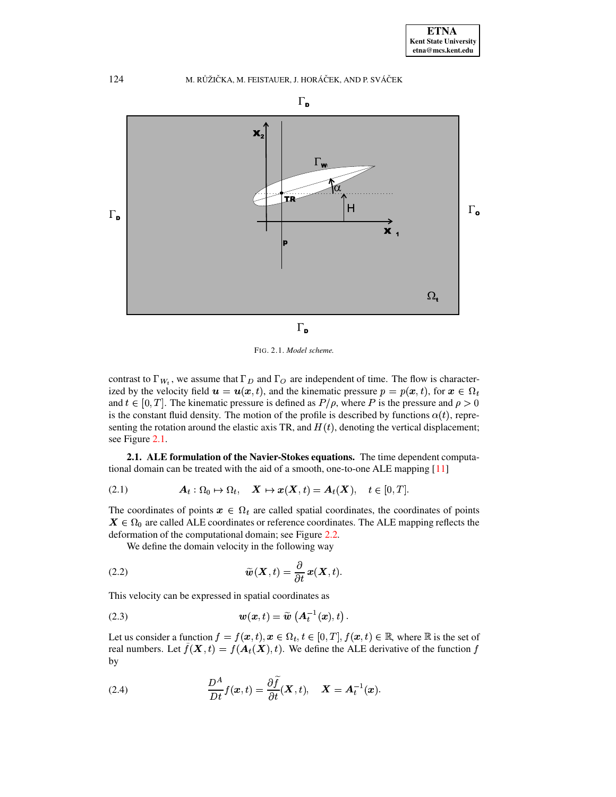



<span id="page-1-0"></span>FIG. 2.1. *Model scheme.*

contrast to  $\Gamma_{W_t}$ , we assume that  $\Gamma_D$  and  $\Gamma_O$  are independent of time. The flow is characterized by the velocity field  $\mathbf{u} = \mathbf{u}(\mathbf{x}, t)$ , and the kinematic pressure  $p = p(\mathbf{x}, t)$ , for  $\mathbf{x} \in \Omega_t$ and  $t \in [0, T]$ . The kinematic pressure is defined as  $P/\rho$ , where P is the pressure and  $\rho > 0$ is the constant fluid density. The motion of the profile is described by functions  $\alpha(t)$ , representing the rotation around the elastic axis TR, and  $H(t)$ , denoting the vertical displacement; see Figure [2.1.](#page-1-0)

**2.1. ALE formulation of the Navier-Stokes equations.** The time dependent computational domain can be treated with the aid of a smooth, one-to-one ALE mapping [\[11\]](#page-10-1)

$$
(2.1) \t\t A_t: \Omega_0 \mapsto \Omega_t, \quad \mathbf{X} \mapsto \mathbf{x}(\mathbf{X},t) = \mathbf{A}_t(\mathbf{X}), \quad t \in [0,T].
$$

The coordinates of points  $x \in \Omega_t$  are called spatial coordinates, the coordinates of points  $X \in \Omega_0$  are called ALE coordinates or reference coordinates. The ALE mapping reflects the deformation of the computational domain; see Figure [2.2.](#page-2-0)

We define the domain velocity in the following way

(2.2) 
$$
\widetilde{\boldsymbol{w}}(\boldsymbol{X},t) = \frac{\partial}{\partial t} \boldsymbol{x}(\boldsymbol{X},t).
$$

This velocity can be expressed in spatial coordinates as

<sup>N</sup> &(' )G# NQP <sup>M</sup> ;LRS &,'G) T <sup>I</sup> (2.3)

Let us consider a function  $f = f(x, t), x \in \Omega_t, t \in [0, T], f(x, t) \in \mathbb{R}$ , where  $\mathbb R$  is the set of real numbers. Let  $f(\mathbf{X}, t) = f(\mathbf{A}_t(\mathbf{X}), t)$ . We define the ALE derivative of the function f by  $\mathbf{b}$ 

(2.4) 
$$
\frac{D^A}{Dt}f(\boldsymbol{x},t) = \frac{\partial \widetilde{f}}{\partial t}(\boldsymbol{X},t), \quad \boldsymbol{X} = \boldsymbol{A}_t^{-1}(\boldsymbol{x}).
$$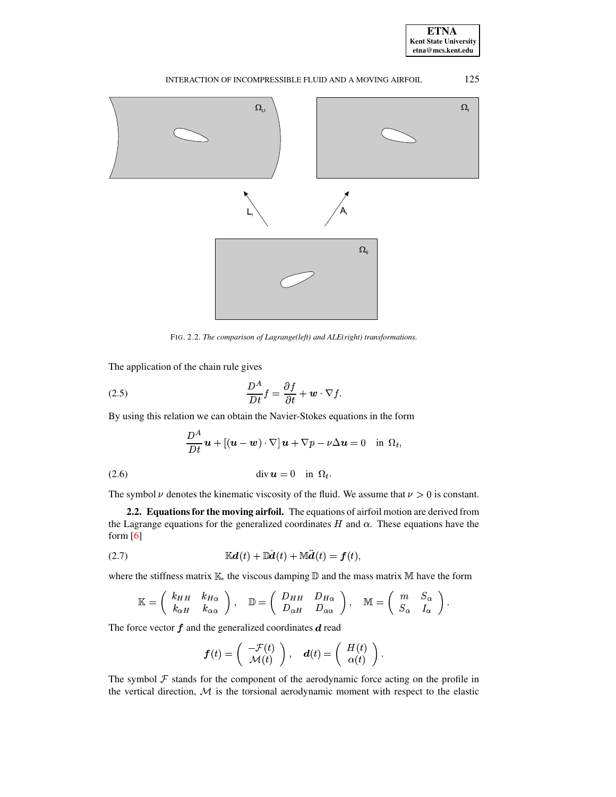

# INTERACTION OF INCOMPRESSIBLE FLUID AND A MOVING AIRFOIL 125



FIG. 2.2. *The comparison of Lagrange(left) and ALE(right) transformations.*

<span id="page-2-0"></span>The application of the chain rule gives

(2.5) 
$$
\frac{D^A}{Dt}f = \frac{\partial f}{\partial t} + \mathbf{w} \cdot \nabla f.
$$

By using this relation we can obtain the Navier-Stokes equations in the form

$$
\frac{D^A}{Dt}\,\boldsymbol{u}+[(\boldsymbol{u}-\boldsymbol{w})\cdot\nabla]\,\boldsymbol{u}+\nabla p-\nu\Delta\boldsymbol{u}=0\quad\text{in }\,\Omega_t,
$$

<span id="page-2-2"></span> $\operatorname{div} \boldsymbol{u} = 0$  in  $\Omega_t$ . (2.6)

The symbol  $\nu$  denotes the kinematic viscosity of the fluid. We assume that  $\nu > 0$  is constant.

**2.2. Equations for the moving airfoil.** The equations of airfoil motion are derived from the Lagrange equations for the generalized coordinates  $H$  and  $\alpha$ . These equations have the form  $[6]$ 

$$
\mathbb{K}\boldsymbol{d}(t) + \mathbb{D}\boldsymbol{d}(t) + \mathbb{M}\boldsymbol{d}(t) = \boldsymbol{f}(t),
$$

<span id="page-2-1"></span>where the stiffness matrix K, the viscous damping D and the mass matrix M have the form  
\n
$$
K = \begin{pmatrix} k_{HH} & k_{H\alpha} \\ k_{\alpha H} & k_{\alpha\alpha} \end{pmatrix}, \quad D = \begin{pmatrix} D_{HH} & D_{H\alpha} \\ D_{\alpha H} & D_{\alpha\alpha} \end{pmatrix}, \quad M = \begin{pmatrix} m & S_{\alpha} \\ S_{\alpha} & I_{\alpha} \end{pmatrix}.
$$

The force vector  $f$  and the generalized coordinates  $d$  read

$$
\boldsymbol{f}(t) = \left( \begin{array}{c} -\mathcal{F}(t) \\ \mathcal{M}(t) \end{array} \right), \quad \boldsymbol{d}(t) = \left( \begin{array}{c} H(t) \\ \alpha(t) \end{array} \right).
$$

The symbol  $\mathcal F$  stands for the component of the aerodynamic force acting on the profile in the vertical direction,  $M$  is the torsional aerodynamic moment with respect to the elastic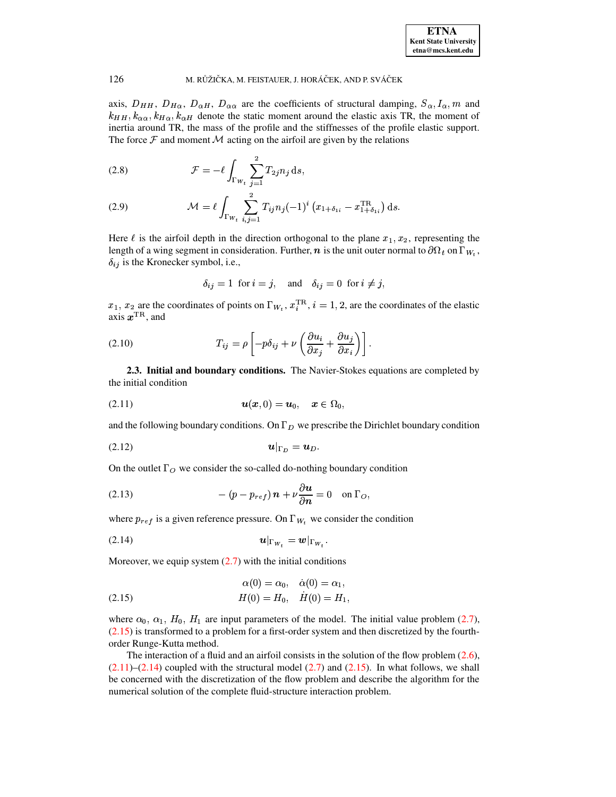

axis,  $D_{HH}$ ,  $D_{H\alpha}$ ,  $D_{\alpha H}$ ,  $D_{\alpha\alpha}$  are the coefficients of structural damping,  $S_{\alpha}$ ,  $I_{\alpha}$ ,  $m$  and  $k_{\alpha\alpha}$ ,  $k_{H\alpha}$ ,  $k_{\alpha H}$  denote the static moment around the elastic axis TR, the moment of inertia around TR, the mass of the profile and the stiffnesses of the profile elastic support. The force  $\mathcal F$  and moment  $\mathcal M$  acting on the airfoil are given by the relations

<span id="page-3-5"></span>(2.8) 
$$
\mathcal{F} = -\ell \int_{\Gamma_{W_t}} \sum_{j=1}^2 T_{2j} n_j \, \mathrm{d}s,
$$

(2.9) 
$$
\mathcal{M} = \ell \int_{\Gamma_{W_t}} \sum_{i,j=1}^2 T_{ij} n_j (-1)^i (x_{1+\delta_{1i}} - x_{1+\delta_{1i}}^{\text{TR}}) ds.
$$

Here  $\ell$  is the airfoil depth in the direction orthogonal to the plane  $x_1, x_2$ , representing the length of a wing segment in consideration. Further,  $\bf{n}$  is the unit outer normal to  $\partial\Omega_t$  on  $\Gamma_{W_t}$ ,  $\delta_{ij}$  is the Kronecker symbol, i.e.,

$$
\delta_{ij} = 1
$$
 for  $i = j$ , and  $\delta_{ij} = 0$  for  $i \neq j$ ,

 $x_1, x_2$  are the coordinates of points on  $\Gamma_{W_t}, x_i^{\text{TR}}, i = 1, 2$ , are the coordinates of the elastic axis  $x^{\text{TR}}$ , and

(2.10) 
$$
T_{ij} = \rho \left[ -p\delta_{ij} + \nu \left( \frac{\partial u_i}{\partial x_j} + \frac{\partial u_j}{\partial x_i} \right) \right].
$$

**2.3. Initial and boundary conditions.** The Navier-Stokes equations are completed by the initial condition

<span id="page-3-1"></span>(2.11) 
$$
u(x, 0) = u_0, \quad x \in \Omega_0,
$$

and the following boundary conditions. On  $\Gamma_D$  we prescribe the Dirichlet boundary condition

<span id="page-3-3"></span>
$$
u|_{\Gamma_D} = u_D.
$$

On the outlet  $\Gamma_O$  we consider the so-called do-nothing boundary condition

<span id="page-3-4"></span>(2.13) 
$$
-(p-p_{ref})\mathbf{n}+\nu\frac{\partial\mathbf{u}}{\partial\mathbf{n}}=0\quad\text{on }\Gamma_O,
$$

where  $p_{ref}$  is a given reference pressure. On  $\Gamma_{W_t}$  we consider the condition

<span id="page-3-2"></span>
$$
u|_{\Gamma_{W_{\tau}}} = w|_{\Gamma_{W_{\tau}}}.
$$

Moreover, we equip system  $(2.7)$  with the initial conditions

<span id="page-3-0"></span>(2.15) 
$$
\alpha(0) = \alpha_0, \quad \dot{\alpha}(0) = \alpha_1, \nH(0) = H_0, \quad \dot{H}(0) = H_1,
$$

where  $\alpha_0$ ,  $\alpha_1$ ,  $H_0$ ,  $H_1$  are input parameters of the model. The initial value problem [\(2.7\)](#page-2-1),  $(2.15)$  is transformed to a problem for a first-order system and then discretized by the fourthorder Runge-Kutta method.

The interaction of a fluid and an airfoil consists in the solution of the flow problem  $(2.6)$ ,  $(2.11)$ – $(2.14)$  coupled with the structural model  $(2.7)$  and  $(2.15)$ . In what follows, we shall be concerned with the discretization of the flow problem and describe the algorithm for the numerical solution of the complete fluid-structure interaction problem.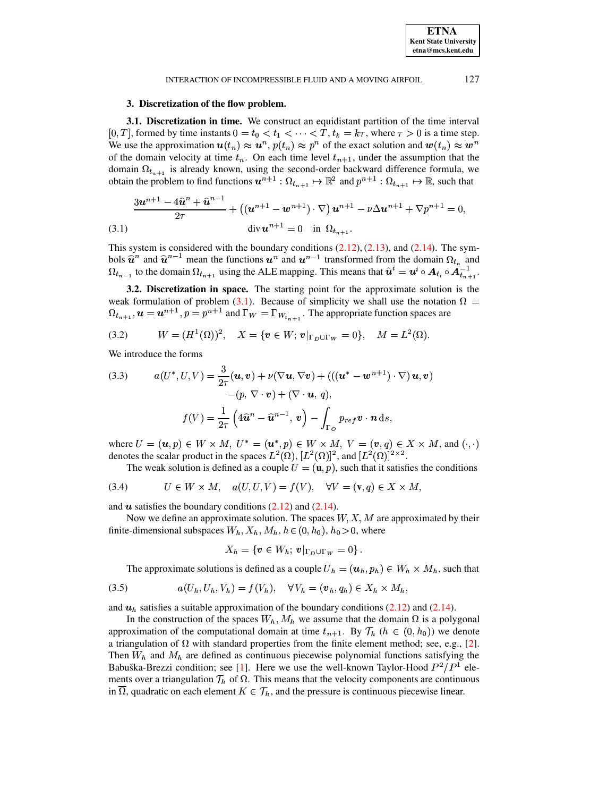#### INTERACTION OF INCOMPRESSIBLE FLUID AND A MOVING AIRFOIL

## 3. Discretization of the flow problem.

3.1. Discretization in time. We construct an equidistant partition of the time interval [0, T], formed by time instants  $0 = t_0 < t_1 < \cdots < T$ ,  $t_k = k\tau$ , where  $\tau > 0$  is a time step. We use the approximation  $u(t_n) \approx u^n$ ,  $p(t_n) \approx p^n$  of the exact solution and  $w(t_n) \approx w^n$ of the domain velocity at time  $t_n$ . On each time level  $t_{n+1}$ , under the assumption that the domain  $\Omega_{t_{n+1}}$  is already known, using the second-order backward difference formula, we obtain the problem to find functions  $u^{n+1}$  :  $\Omega_{t_{n+1}} \mapsto \mathbb{R}^2$  and  $p^{n+1}$  :  $\Omega_{t_{n+1}} \mapsto \mathbb{R}$ , such that

<span id="page-4-0"></span>
$$
\frac{3u^{n+1}-4\hat{u}^{n}+\hat{u}^{n-1}}{2\tau}+\left((u^{n+1}-w^{n+1})\cdot\nabla\right)u^{n+1}-\nu\Delta u^{n+1}+\nabla p^{n+1}=0,
$$
\n(3.1) 
$$
\operatorname{div} u^{n+1}=0 \quad \text{in } \Omega_{t_{n+1}}.
$$

This system is considered with the boundary conditions  $(2.12)$ ,  $(2.13)$ , and  $(2.14)$ . The symbols  $\hat{u}^n$  and  $\hat{u}^{n-1}$  mean the functions  $u^n$  and  $u^{n-1}$  transformed from the domain  $\Omega_{t_n}$  and  $\Omega_{t_{n-1}}$  to the domain  $\Omega_{t_{n+1}}$  using the ALE mapping. This means that  $\hat{u}^i = u^i \circ A_{t_i} \circ A_{t_{n+1}}^{-1}$ .

3.2. Discretization in space. The starting point for the approximate solution is the weak formulation of problem (3.1). Because of simplicity we shall use the notation  $\Omega =$  $\Omega_{t_{n+1}}, u = u^{n+1}, p = p^{n+1}$  and  $\Gamma_W = \Gamma_{W_{t_{n+1}}}$ . The appropriate function spaces are

(3.2) 
$$
W = (H^1(\Omega))^2
$$
,  $X = \{v \in W; v|_{\Gamma_D \cup \Gamma_W} = 0\}$ ,  $M = L^2(\Omega)$ .

We introduce the forms

(3.3) 
$$
a(U^*, U, V) = \frac{3}{2\tau}(\mathbf{u}, \mathbf{v}) + \nu(\nabla \mathbf{u}, \nabla \mathbf{v}) + (((\mathbf{u}^* - \mathbf{w}^{n+1}) \cdot \nabla) \mathbf{u}, \mathbf{v}) - (p, \nabla \cdot \mathbf{v}) + (\nabla \cdot \mathbf{u}, q),
$$

$$
f(V) = \frac{1}{2\tau} \left( 4\hat{\mathbf{u}}^n - \hat{\mathbf{u}}^{n-1}, \mathbf{v} \right) - \int_{\Gamma_{O}} p_{ref} \mathbf{v} \cdot \mathbf{n} \, ds,
$$

where  $U = (\mathbf{u}, p) \in W \times M$ ,  $U^* = (\mathbf{u}^*, p) \in W \times M$ ,  $V = (\mathbf{v}, q) \in X \times M$ , and  $(\cdot, \cdot)$ denotes the scalar product in the spaces  $L^2(\Omega)$ ,  $[L^2(\Omega)]^2$ , and  $[L^2(\Omega)]^{2\times 2}$ .

The weak solution is defined as a couple  $U = (\mathbf{u}, p)$ , such that it satisfies the conditions

(3.4) 
$$
U \in W \times M, \quad a(U, U, V) = f(V), \quad \forall V = (\mathbf{v}, q) \in X \times M,
$$

and  $\boldsymbol{u}$  satisfies the boundary conditions (2.12) and (2.14).

Now we define an approximate solution. The spaces  $W, X, M$  are approximated by their finite-dimensional subspaces  $W_h$ ,  $X_h$ ,  $M_h$ ,  $h \in (0, h_0)$ ,  $h_0 > 0$ , where

$$
X_h = \{ \boldsymbol{v} \in W_h; \, \boldsymbol{v} |_{\Gamma_D \cup \Gamma_W} = 0 \}.
$$

The approximate solutions is defined as a couple  $U_h = (\mathbf{u}_h, p_h) \in W_h \times M_h$ , such that

$$
(3.5) \t a(U_h, U_h, V_h) = f(V_h), \quad \forall V_h = (\boldsymbol{v}_h, q_h) \in X_h \times M_h
$$

and  $u<sub>h</sub>$  satisfies a suitable approximation of the boundary conditions (2.12) and (2.14).

In the construction of the spaces  $W_h$ ,  $M_h$  we assume that the domain  $\Omega$  is a polygonal approximation of the computational domain at time  $t_{n+1}$ . By  $\mathcal{T}_h$   $(h \in (0, h_0))$  we denote a triangulation of  $\Omega$  with standard properties from the finite element method; see, e.g., [2]. Then  $W_h$  and  $M_h$  are defined as continuous piecewise polynomial functions satisfying the Babuška-Brezzi condition; see [1]. Here we use the well-known Taylor-Hood  $P^2/P^1$  elements over a triangulation  $\mathcal{T}_h$  of  $\Omega$ . This means that the velocity components are continuous in  $\overline{\Omega}$ , quadratic on each element  $K \in \mathcal{T}_h$ , and the pressure is continuous piecewise linear.

127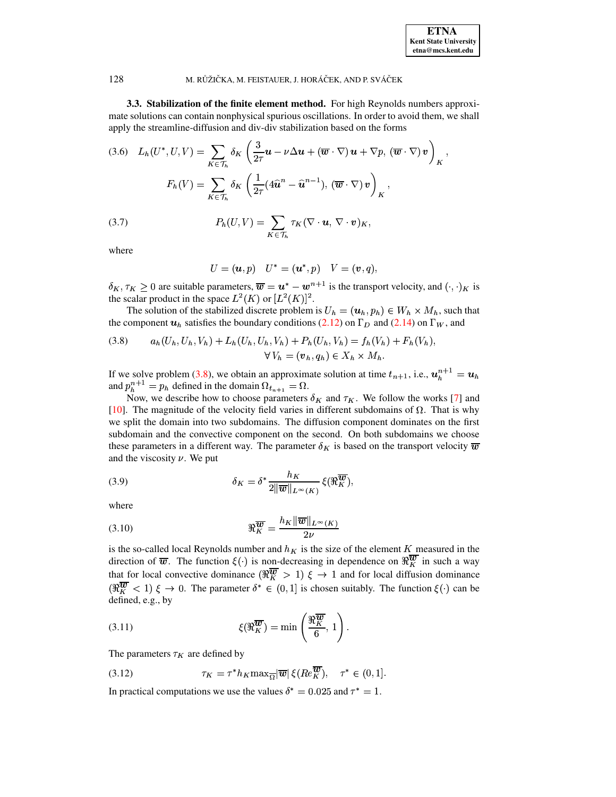

3.3. Stabilization of the finite element method. For high Reynolds numbers approximate solutions can contain nonphysical spurious oscillations. In order to avoid them, we shall apply the streamline-diffusion and div-div stabilization based on the forms

(3.6) 
$$
L_h(U^*, U, V) = \sum_{K \in \mathcal{T}_h} \delta_K \left( \frac{3}{2\tau} \mathbf{u} - \nu \Delta \mathbf{u} + (\overline{\mathbf{w}} \cdot \nabla) \mathbf{u} + \nabla p, (\overline{\mathbf{w}} \cdot \nabla) \mathbf{v} \right)_K,
$$

$$
F_h(V) = \sum_{K \in \mathcal{T}_h} \delta_K \left( \frac{1}{2\tau} (4\hat{\mathbf{u}}^n - \hat{\mathbf{u}}^{n-1}), (\overline{\mathbf{w}} \cdot \nabla) \mathbf{v} \right)_K,
$$

$$
(3.7) \qquad P_h(U, V) = \sum_{K \in \mathcal{T}_h} \tau_K (\nabla \cdot \mathbf{u}, \nabla \cdot \mathbf{v})_K,
$$

where

$$
U = (u, p) \quad U^* = (u^*, p) \quad V = (v, q),
$$

 $\delta_K, \tau_K \geq 0$  are suitable parameters,  $\overline{\boldsymbol{w}} = \boldsymbol{u}^* - \boldsymbol{w}^{n+1}$  is the transport velocity, and  $(\cdot, \cdot)_K$  is the scalar product in the space  $L^2(K)$  or  $[L^2(K)]^2$ .

The solution of the stabilized discrete problem is  $U_h = (\mathbf{u}_h, p_h) \in W_h \times M_h$ , such that the component  $u_h$  satisfies the boundary conditions (2.12) on  $\Gamma_D$  and (2.14) on  $\Gamma_W$ , and

<span id="page-5-0"></span>(3.8) 
$$
a_h(U_h, U_h, V_h) + L_h(U_h, U_h, V_h) + P_h(U_h, V_h) = f_h(V_h) + F_h(V_h),
$$

$$
\forall V_h = (\mathbf{v}_h, q_h) \in X_h \times M_h.
$$

If we solve problem (3.8), we obtain an approximate solution at time  $t_{n+1}$ , i.e.,  $u_h^{n+1} = u_h$ and  $p_h^{n+1} = p_h$  defined in the domain  $\Omega_{t_{n+1}} = \Omega$ .

Now, we describe how to choose parameters  $\delta_K$  and  $\tau_K$ . We follow the works [7] and [10]. The magnitude of the velocity field varies in different subdomains of  $\Omega$ . That is why we split the domain into two subdomains. The diffusion component dominates on the first subdomain and the convective component on the second. On both subdomains we choose these parameters in a different way. The parameter  $\delta_K$  is based on the transport velocity  $\overline{w}$ and the viscosity  $\nu$ . We put

(3.9) 
$$
\delta_K = \delta^* \frac{h_K}{2 \|\overline{\boldsymbol{w}}\|_{L^\infty(K)}} \xi(\Re_K^{\overline{\boldsymbol{w}}}),
$$

where

$$
\Re_{K}^{\overline{w}} = \frac{h_K \|\overline{w}\|_{L^{\infty}(K)}}{2\nu}
$$

is the so-called local Reynolds number and  $h_K$  is the size of the element K measured in the direction of  $\overline{w}$ . The function  $\xi(\cdot)$  is non-decreasing in dependence on  $\Re_K^{\overline{w}}$  in such a way that for local convective dominance  $(\Re \frac{\overline{w}}{K} > 1) \xi \to 1$  and for local diffusion dominance  $(\Re_K^{\overline{w}} < 1) \xi \to 0$ . The parameter  $\delta^* \in (0,1]$  is chosen suitably. The function  $\xi(\cdot)$  can be defined, e.g., by

(3.11) 
$$
\xi(\Re_K^{\overline{w}}) = \min\left(\frac{\Re_K^{\overline{w}}}{6}, 1\right).
$$

The parameters  $\tau_K$  are defined by

(3.12) 
$$
\tau_K = \tau^* h_K \max_{\overline{\Omega}} |\overline{\boldsymbol{w}}| \, \xi(Re_{K}^{\overline{\boldsymbol{w}}}), \quad \tau^* \in (0,1].
$$

In practical computations we use the values  $\delta^* = 0.025$  and  $\tau^* = 1$ .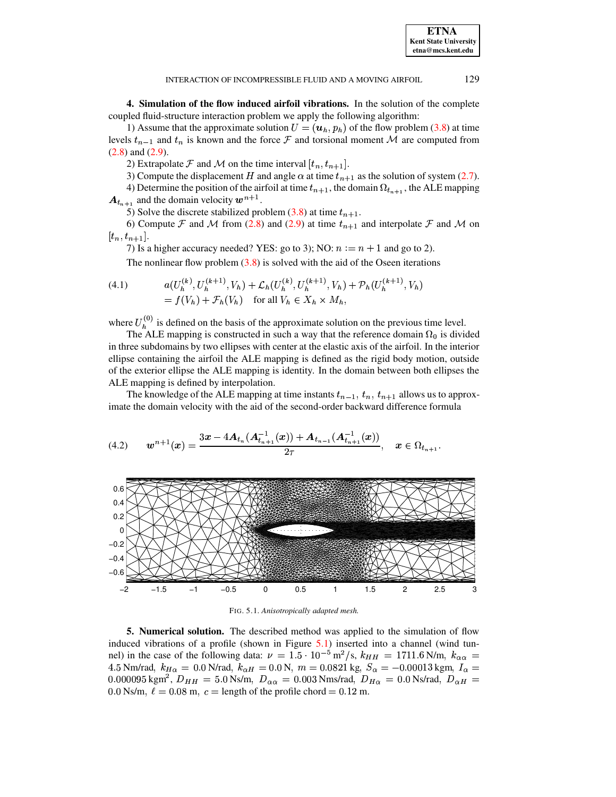**4. Simulation of the flow induced airfoil vibrations.** In the solution of the complete coupled fluid-structure interaction problem we apply the following algorithm:

1) Assume that the approximate solution  $U = (\mathbf{u}_h, p_h)$  of the flow problem [\(3.8\)](#page-5-0) at time levels  $t_{n-1}$  and  $t_n$  is known and the force  $\mathcal F$  and torsional moment M are computed from [\(2.8\)](#page-3-5) and [\(2.9\)](#page-3-5).

2) Extrapolate F and M on the time interval  $[t_n, t_{n+1}]$ .

3) Compute the displacement H and angle  $\alpha$  at time  $t_{n+1}$  as the solution of system [\(2.7\)](#page-2-1).

4) Determine the position of the airfoil at time  $t_{n+1}$ , the domain  $\Omega_{t_{n+1}}$ , the ALE mapping  $A_{t_{n+1}}$  and the domain velocity  $w^{n+1}$ .

5) Solve the discrete stabilized problem [\(3.8\)](#page-5-0) at time  $t_{n+1}$ .

6) Compute F and M from [\(2.8\)](#page-3-5) and [\(2.9\)](#page-3-5) at time  $t_{n+1}$  and interpolate F and M on  $[t_n, t_{n+1}].$ 

7) Is a higher accuracy needed? YES: go to 3); NO:  $n := n + 1$  and go to 2).

The nonlinear flow problem  $(3.8)$  is solved with the aid of the Oseen iterations

(4.1) 
$$
a(U_h^{(k)}, U_h^{(k+1)}, V_h) + \mathcal{L}_h(U_h^{(k)}, U_h^{(k+1)}, V_h) + \mathcal{P}_h(U_h^{(k+1)}, V_h) = f(V_h) + \mathcal{F}_h(V_h) \text{ for all } V_h \in X_h \times M_h,
$$

where  $U_h^{(0)}$  is defined on the basis of the approximate solution on the previous time level.

The ALE mapping is constructed in such a way that the reference domain  $\Omega_0$  is divided in three subdomains by two ellipses with center at the elastic axis of the airfoil. In the interior ellipse containing the airfoil the ALE mapping is defined as the rigid body motion, outside of the exterior ellipse the ALE mapping is identity. In the domain between both ellipses the ALE mapping is defined by interpolation.

The knowledge of the ALE mapping at time instants  $t_{n-1}$ ,  $t_n$ ,  $t_{n+1}$  allows us to approximate the domain velocity with the aid of the second-order backward difference formula

$$
(4.2) \t\t wn+1(x) = \frac{3x - 4A_{t_n}(A_{t_{n+1}}^{-1}(x)) + A_{t_{n-1}}(A_{t_{n+1}}^{-1}(x))}{2\tau}, \t x \in \Omega_{t_{n+1}}.
$$



<span id="page-6-0"></span>FIG. 5.1. *Anisotropically adapted mesh.*

**5. Numerical solution.** The described method was applied to the simulation of flow induced vibrations of a profile (shown in Figure [5.1\)](#page-6-0) inserted into a channel (wind tunnel) in the case of the following data:  $\nu = 1.5 \cdot 10^{-5} \,\mathrm{m}^2/\mathrm{s}$ ,  $k_{HH} = 1711.6 \,\mathrm{N/m}$ ,  $k_{H}$ nel) in the case of the following data:  $\nu = 1.5 \cdot 10^{-5} \text{ m}^2/\text{s}$ ,  $k_{HH} = 1711.6 \text{ N/m}$ ,  $k_{\alpha \alpha} = 4.5 \text{ Nm/rad}$ ,  $k_{H\alpha} = 0.0 \text{ N/rad}$ ,  $k_{\alpha H} = 0.0 \text{ N}$ ,  $m = 0.0821 \text{ kg}$ ,  $S_{\alpha} = -0.00013 \text{ kgm}$ ,  $I_{\alpha} = 0.00013 \text{ kgm}$ 4.5 Nm/rad,  $k_{H\alpha} = 0.0$  N/rad,  $k_{\alpha H} = 0.0$  N,  $m = 0.0821$  kg,  $S_{\alpha} = -0.00013$  kgm,  $I_{\alpha} = 0.000095$  kgm<sup>2</sup>,  $D_{HH} = 5.0$  Ns/m,  $D_{\alpha\alpha} = 0.003$  Nms/rad,  $D_{H\alpha} = 0.0$  Ns/rad,  $D_{\alpha H} =$ l,  $k_{\alpha H} = 0.0 \text{ N}$ ,  $m = 0.0821 \text{ k}$ <br>Ns/m,  $D_{\alpha \alpha} = 0.003 \text{ Nms/rad}$ , 0.0821 kg,  $S_{\alpha} = -0.00013$  kgm<br>Nms/rad,  $D_{H\alpha} = 0.0$  Ns/rad,  $D$ 0013 kgm,  $I_{\alpha}$  =<br>Ns/rad,  $D_{\alpha H}$  =  $0.0$  Ns/m,  $\ell = 0.08$  m,  $c =$  length of the profile chord = 0.12 m.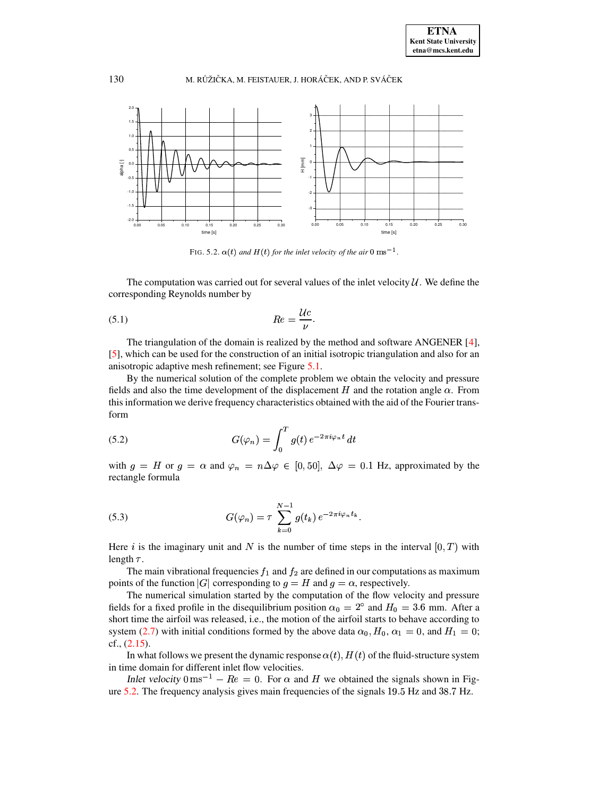

<span id="page-7-0"></span>FIG. 5.2.  $\alpha(t)$  and  $H(t)$  for the inlet velocity of the air 0  $\text{ms}^{-1}$ .

The computation was carried out for several values of the inlet velocity  $\mathcal{U}$ . We define the corresponding Reynolds number by

$$
(5.1) \t\t Re = \frac{Uc}{\nu}.
$$

The triangulation of the domain is realized by the method and software ANGENER [\[4\]](#page-10-4), [\[5\]](#page-10-5), which can be used for the construction of an initial isotropic triangulation and also for an anisotropic adaptive mesh refinement; see Figure [5.1.](#page-6-0)

By the numerical solution of the complete problem we obtain the velocity and pressure fields and also the time development of the displacement H and the rotation angle  $\alpha$ . From this information we derive frequency characteristics obtained with the aid of the Fourier transform

(5.2) 
$$
G(\varphi_n) = \int_0^T g(t) e^{-2\pi i \varphi_n t} dt
$$

with  $g = H$  or  $g = \alpha$  and  $\varphi_n = n\Delta\varphi \in [0, 50]$ ,  $\Delta\varphi = 0.1$  Hz, approximated by the rectangle formula

(5.3) 
$$
G(\varphi_n) = \tau \sum_{k=0}^{N-1} g(t_k) e^{-2\pi i \varphi_n t_k}.
$$

Here *i* is the imaginary unit and N is the number of time steps in the interval  $[0, T)$  with length  $\tau$ .

The main vibrational frequencies  $f_1$  and  $f_2$  are defined in our computations as maximum The main vibrational frequencies  $f_1$  and  $f_2$  are defined in our computat<br>points of the function  $|G|$  corresponding to  $g = H$  and  $g = \alpha$ , respectively.

 The numerical simulation started by the computation of the flow velocity and pressure fields for a fixed profile in the disequilibrium position  $\alpha_0 = 2^{\circ}$  and  $H_0 = 3.6$  mm. After a short time the airfoil was released, i.e., the motion of the airfoil starts to behave according to system [\(2.7\)](#page-2-1) with initial conditions formed by the above data  $\alpha_0$ ,  $H_0$ ,  $\alpha_1 = 0$ , and  $H_1 = 0$ ; cf., [\(2.15\)](#page-3-0).

In what follows we present the dynamic response  $\alpha(t)$ ,  $H(t)$  of the fluid-structure system in time domain for different inlet flow velocities.

Inlet velocity  $0 \text{ ms}^{-1} - Re = 0$ . For  $\alpha$  and H we obtained the signals shown in Figure  $5.2$ . The frequency analysis gives main frequencies of the signals  $19.5$  Hz and  $38.7$  Hz.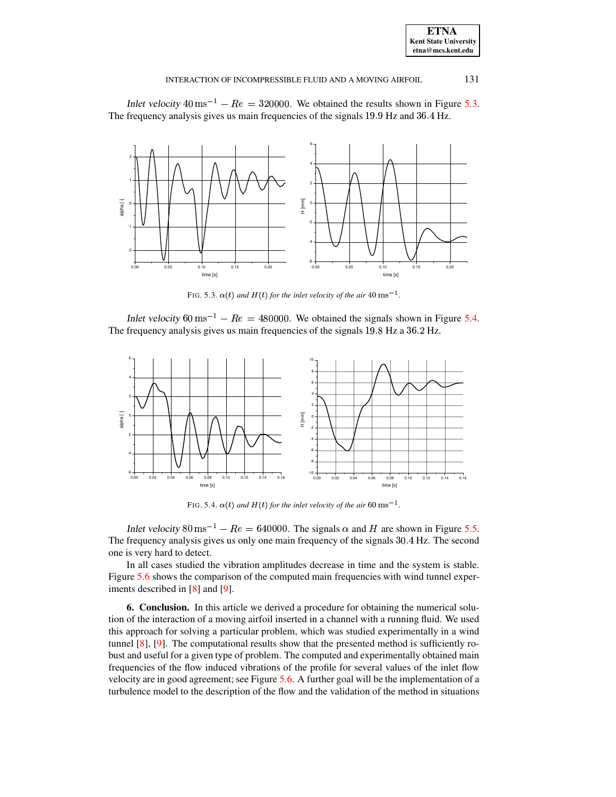| <b>ETNA</b>                  |
|------------------------------|
| <b>Kent State University</b> |
| etna@mcs.kent.edu            |

131

#### INTERACTION OF INCOMPRESSIBLE FLUID AND A MOVING AIRFOIL

Inlet velocity  $40 \text{ ms}^{-1} - Re = 320000$ . We obtained the results shown in Figure 5.3. The frequency analysis gives us main frequencies of the signals 19.9 Hz and 36.4 Hz.



<span id="page-8-0"></span>FIG. 5.3.  $\alpha(t)$  and  $H(t)$  for the inlet velocity of the air 40 ms<sup>-1</sup>.

Inlet velocity 60 ms<sup>-1</sup> –  $Re = 480000$ . We obtained the signals shown in Figure 5.4. The frequency analysis gives us main frequencies of the signals 19.8 Hz a 36.2 Hz.



<span id="page-8-1"></span>FIG. 5.4.  $\alpha(t)$  and  $H(t)$  for the inlet velocity of the air 60 ms<sup>-1</sup>.

Inlet velocity  $80 \text{ ms}^{-1} - Re = 640000$ . The signals  $\alpha$  and H are shown in Figure 5.5. The frequency analysis gives us only one main frequency of the signals 30.4 Hz. The second one is very hard to detect.

In all cases studied the vibration amplitudes decrease in time and the system is stable. Figure 5.6 shows the comparison of the computed main frequencies with wind tunnel experiments described in  $[8]$  and  $[9]$ .

**6. Conclusion.** In this article we derived a procedure for obtaining the numerical solution of the interaction of a moving airfoil inserted in a channel with a running fluid. We used this approach for solving a particular problem, which was studied experimentally in a wind tunnel  $[8]$ ,  $[9]$ . The computational results show that the presented method is sufficiently robust and useful for a given type of problem. The computed and experimentally obtained main frequencies of the flow induced vibrations of the profile for several values of the inlet flow velocity are in good agreement; see Figure 5.6. A further goal will be the implementation of a turbulence model to the description of the flow and the validation of the method in situations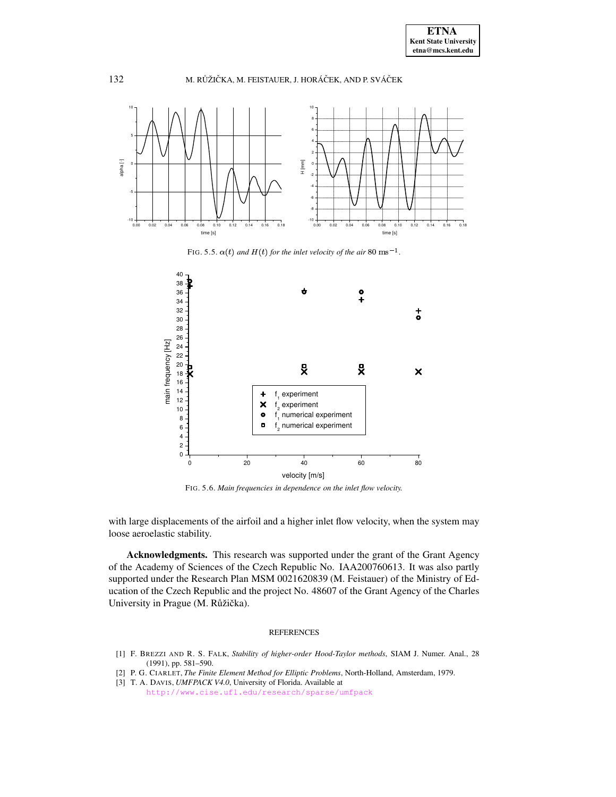

FIG. 5.5.  $\alpha(t)$  *and*  $H(t)$  *for the inlet velocity of the air* 80 ms<sup>-1</sup>.

<span id="page-9-3"></span>

<span id="page-9-4"></span>FIG. 5.6. *Main frequencies in dependence on the inlet flow velocity.*

with large displacements of the airfoil and a higher inlet flow velocity, when the system may loose aeroelastic stability.

**Acknowledgments.** This research was supported under the grant of the Grant Agency of the Academy of Sciences of the Czech Republic No. IAA200760613. It was also partly supported under the Research Plan MSM 0021620839 (M. Feistauer) of the Ministry of Education of the Czech Republic and the project No. 48607 of the Grant Agency of the Charles University in Prague (M. Růžička).

## REFERENCES

- <span id="page-9-2"></span>[1] F. BREZZI AND R. S. FALK, *Stability of higher-order Hood-Taylor methods*, SIAM J. Numer. Anal., 28 (1991), pp. 581–590.
- <span id="page-9-1"></span><span id="page-9-0"></span>[2] P. G. CIARLET, *The Finite Element Method for Elliptic Problems*, North-Holland, Amsterdam, 1979.
- [3] T. A. DAVIS, *UMFPACK V4.0*, University of Florida. Available at
	- <http://www.cise.ufl.edu/research/sparse/umfpack>